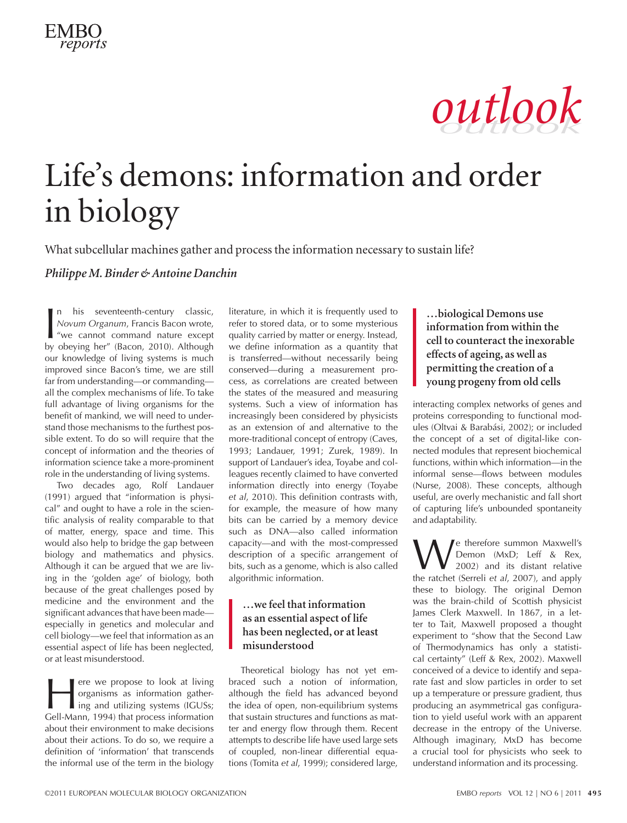



# Life's demons: information and order in biology

What subcellular machines gather and process the information necessary to sustain life?

### *Philippe M. Binder & Antoine Danchin*

In his seventeenth-century classic,<br> *Novum Organum*, Francis Bacon wrote,<br>
"we cannot command nature except<br>
by obeying her" (Bacon, 2010). Although n his seventeenth-century classic, *Novum Organum*, Francis Bacon wrote, "we cannot command nature except our knowledge of living systems is much improved since Bacon's time, we are still far from understanding—or commanding all the complex mechanisms of life. To take full advantage of living organisms for the benefit of mankind, we will need to understand those mechanisms to the furthest possible extent. To do so will require that the concept of information and the theories of information science take a more-prominent role in the understanding of living systems.

Two decades ago, Rolf Landauer (1991) argued that "information is physical" and ought to have a role in the scientific analysis of reality comparable to that of matter, energy, space and time. This would also help to bridge the gap between biology and mathematics and physics. Although it can be argued that we are living in the 'golden age' of biology, both because of the great challenges posed by medicine and the environment and the significant advances that have been made especially in genetics and molecular and cell biology—we feel that information as an essential aspect of life has been neglected, or at least misunderstood.

Free we propose to look at living<br>organisms as information gather-<br>ing and utilizing systems (IGUSs;<br>Gell-Mann 1994) that process information organisms as information gathering and utilizing systems (IGUSs; Gell-Mann, 1994) that process information about their environment to make decisions about their actions. To do so, we require a definition of 'information' that transcends the informal use of the term in the biology

literature, in which it is frequently used to refer to stored data, or to some mysterious quality carried by matter or energy. Instead, we define information as a quantity that is transferred—without necessarily being conserved—during a measurement process, as correlations are created between the states of the measured and measuring systems. Such a view of information has increasingly been considered by physicists as an extension of and alternative to the more-traditional concept of entropy (Caves, 1993; Landauer, 1991; Zurek, 1989). In support of Landauer's idea, Toyabe and colleagues recently claimed to have converted information directly into energy (Toyabe *et al*, 2010). This definition contrasts with, for example, the measure of how many bits can be carried by a memory device such as DNA—also called information capacity—and with the most-compressed description of a specific arrangement of bits, such as a genome, which is also called algorithmic information.

### **…we feel that information as an essential aspect of life has been neglected, or at least misunderstood**

Theoretical biology has not yet embraced such a notion of information, although the field has advanced beyond the idea of open, non-equilibrium systems that sustain structures and functions as matter and energy flow through them. Recent attempts to describe life have used large sets of coupled, non-linear differential equations (Tomita *et al*, 1999); considered large,

### **…biological Demons use information from within the cell to counteract the inexorable effects of ageing, as well as permitting the creation of a young progeny from old cells**

interacting complex networks of genes and proteins corresponding to functional modules (Oltvai & Barabási, 2002); or included the concept of a set of digital-like connected modules that represent biochemical functions, within which information—in the informal sense—flows between modules (Nurse, 2008). These concepts, although useful, are overly mechanistic and fall short of capturing life's unbounded spontaneity and adaptability.

**We therefore summon Maxwell's Demon** (MxD; Leff & Rex, 2002) and its distant relative the ratchet (Serreli *et al*, 2007), and apply Demon (MxD; Leff & Rex, 2002) and its distant relative these to biology. The original Demon was the brain-child of Scottish physicist James Clerk Maxwell. In 1867, in a letter to Tait, Maxwell proposed a thought experiment to "show that the Second Law of Thermodynamics has only a statistical certainty" (Leff & Rex, 2002). Maxwell conceived of a device to identify and separate fast and slow particles in order to set up a temperature or pressure gradient, thus producing an asymmetrical gas configuration to yield useful work with an apparent decrease in the entropy of the Universe. Although imaginary, MxD has become a crucial tool for physicists who seek to understand information and its processing.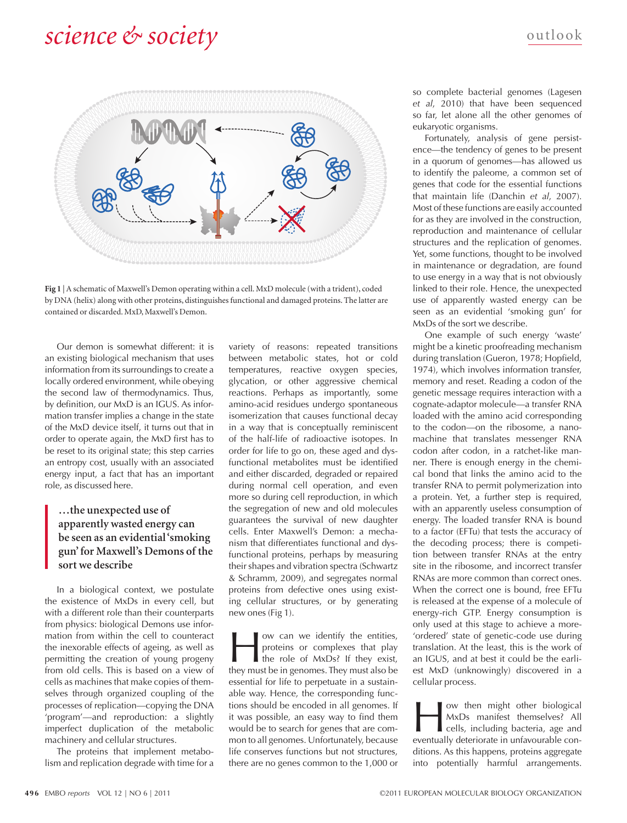## *science & society* outlook





Our demon is somewhat different: it is an existing biological mechanism that uses information from its surroundings to create a locally ordered environment, while obeying the second law of thermodynamics. Thus, by definition, our MxD is an IGUS. As information transfer implies a change in the state of the MxD device itself, it turns out that in order to operate again, the MxD first has to be reset to its original state; this step carries an entropy cost, usually with an associated energy input, a fact that has an important role, as discussed here.

### **…the unexpected use of apparently wasted energy can be seen as an evidential 'smoking gun' for Maxwell's Demons of the sort we describe**

In a biological context, we postulate the existence of MxDs in every cell, but with a different role than their counterparts from physics: biological Demons use information from within the cell to counteract the inexorable effects of ageing, as well as permitting the creation of young progeny from old cells. This is based on a view of cells as machines that make copies of themselves through organized coupling of the processes of replication—copying the DNA 'program'—and reproduction: a slightly imperfect duplication of the metabolic machinery and cellular structures.

The proteins that implement metabolism and replication degrade with time for a

variety of reasons: repeated transitions between metabolic states, hot or cold temperatures, reactive oxygen species, glycation, or other aggressive chemical reactions. Perhaps as importantly, some amino-acid residues undergo spontaneous isomerization that causes functional decay in a way that is conceptually reminiscent of the half-life of radioactive isotopes. In order for life to go on, these aged and dysfunctional metabolites must be identified and either discarded, degraded or repaired during normal cell operation, and even more so during cell reproduction, in which the segregation of new and old molecules guarantees the survival of new daughter cells. Enter Maxwell's Demon: a mechanism that differentiates functional and dysfunctional proteins, perhaps by measuring their shapes and vibration spectra (Schwartz & Schramm, 2009), and segregates normal proteins from defective ones using existing cellular structures, or by generating new ones (Fig 1).

we can we identify the entities,<br>proteins or complexes that play<br>the role of MxDs? If they exist,<br>they must be in genomes They must also be proteins or complexes that play they must be in genomes. They must also be essential for life to perpetuate in a sustainable way. Hence, the corresponding functions should be encoded in all genomes. If it was possible, an easy way to find them would be to search for genes that are common to all genomes. Unfortunately, because life conserves functions but not structures, there are no genes common to the 1,000 or

so complete bacterial genomes (Lagesen *et al*, 2010) that have been sequenced so far, let alone all the other genomes of eukaryotic organisms.

Fortunately, analysis of gene persistence—the tendency of genes to be present in a quorum of genomes—has allowed us to identify the paleome, a common set of genes that code for the essential functions that maintain life (Danchin *et al*, 2007). Most of these functions are easily accounted for as they are involved in the construction, reproduction and maintenance of cellular structures and the replication of genomes. Yet, some functions, thought to be involved in maintenance or degradation, are found to use energy in a way that is not obviously linked to their role. Hence, the unexpected use of apparently wasted energy can be seen as an evidential 'smoking gun' for MxDs of the sort we describe.

One example of such energy 'waste' might be a kinetic proofreading mechanism during translation (Gueron, 1978; Hopfield, 1974), which involves information transfer, memory and reset. Reading a codon of the genetic message requires interaction with a cognate-adaptor molecule—a transfer RNA loaded with the amino acid corresponding to the codon—on the ribosome, a nanomachine that translates messenger RNA codon after codon, in a ratchet-like manner. There is enough energy in the chemical bond that links the amino acid to the transfer RNA to permit polymerization into a protein. Yet, a further step is required, with an apparently useless consumption of energy. The loaded transfer RNA is bound to a factor (EFTu) that tests the accuracy of the decoding process; there is competition between transfer RNAs at the entry site in the ribosome, and incorrect transfer RNAs are more common than correct ones. When the correct one is bound, free EFTu is released at the expense of a molecule of energy-rich GTP. Energy consumption is only used at this stage to achieve a more- 'ordered' state of genetic-code use during translation. At the least, this is the work of an IGUS, and at best it could be the earliest MxD (unknowingly) discovered in a cellular process.

w then might other biological<br>
MxDs manifest themselves? All<br>
cells, including bacteria, age and<br>
eventually deteriorate in unfavourable con-MxDs manifest themselves? All eventually deteriorate in unfavourable conditions. As this happens, proteins aggregate into potentially harmful arrangements.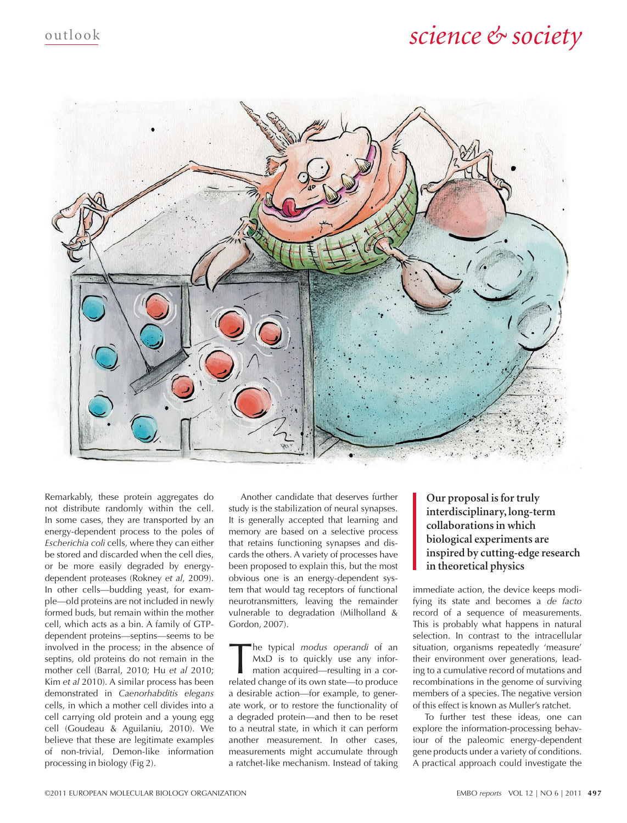## outlook *science & society*



Remarkably, these protein aggregates do not distribute randomly within the cell. In some cases, they are transported by an energy-dependent process to the poles of *Escherichia coli* cells, where they can either be stored and discarded when the cell dies, or be more easily degraded by energydependent proteases (Rokney *et al*, 2009). In other cells—budding yeast, for example—old proteins are not included in newly formed buds, but remain within the mother cell, which acts as a bin. A family of GTPdependent proteins—septins—seems to be involved in the process; in the absence of septins, old proteins do not remain in the mother cell (Barral, 2010; Hu *et al* 2010; Kim *et al* 2010). A similar process has been demonstrated in *Caenorhabditis elegans* cells, in which a mother cell divides into a cell carrying old protein and a young egg cell (Goudeau & Aguilaniu, 2010). We believe that these are legitimate examples of non-trivial, Demon-like information processing in biology (Fig 2).

Another candidate that deserves further study is the stabilization of neural synapses. It is generally accepted that learning and memory are based on a selective process that retains functioning synapses and discards the others. A variety of processes have been proposed to explain this, but the most obvious one is an energy-dependent system that would tag receptors of functional neurotransmitters, leaving the remainder vulnerable to degradation (Milholland & Gordon, 2007).

The typical *modus operandi* of an MxD is to quickly use any information acquired—resulting in a correlated change of its own state—to produce MxD is to quickly use any information acquired—resulting in a correlated change of its own state—to produce a desirable action—for example, to generate work, or to restore the functionality of a degraded protein—and then to be reset to a neutral state, in which it can perform another measurement. In other cases, measurements might accumulate through a ratchet-like mechanism. Instead of taking

**Our proposal is for truly interdisciplinary, long-term collaborations in which biological experiments are inspired by cutting-edge research in theoretical physics**

immediate action, the device keeps modifying its state and becomes a *de facto* record of a sequence of measurements. This is probably what happens in natural selection. In contrast to the intracellular situation, organisms repeatedly 'measure' their environment over generations, leading to a cumulative record of mutations and recombinations in the genome of surviving members of a species. The negative version of this effect is known as Muller's ratchet.

To further test these ideas, one can explore the information-processing behaviour of the paleomic energy-dependent gene products under a variety of conditions. A practical approach could investigate the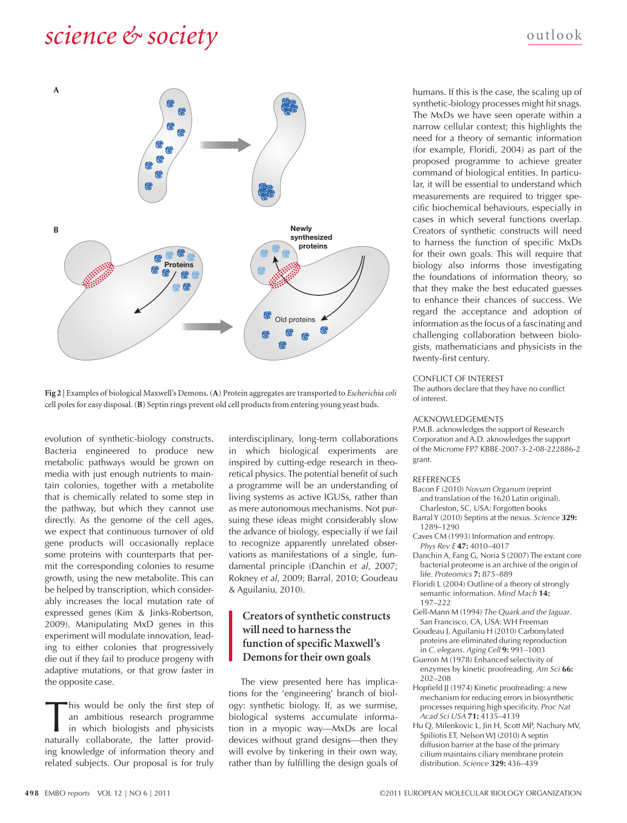## **science & society** outlook



**Fig 2** | Examples of biological Maxwell's Demons. (**A**) Protein aggregates are transported to *Escherichia coli* cell poles for easy disposal. (**B**) Septin rings prevent old cell products from entering young yeast buds.

evolution of synthetic-biology constructs. Bacteria engineered to produce new metabolic pathways would be grown on media with just enough nutrients to maintain colonies, together with a metabolite that is chemically related to some step in the pathway, but which they cannot use directly. As the genome of the cell ages, we expect that continuous turnover of old gene products will occasionally replace some proteins with counterparts that permit the corresponding colonies to resume growth, using the new metabolite. This can be helped by transcription, which considerably increases the local mutation rate of expressed genes (Kim & Jinks-Robertson, 2009). Manipulating MxD genes in this experiment will modulate innovation, leading to either colonies that progressively die out if they fail to produce progeny with adaptive mutations, or that grow faster in the opposite case.

This would be only the first step of<br>
in which biologists and physicists<br>
naturally collaborate the latter providan ambitious research programme naturally collaborate, the latter providing knowledge of information theory and related subjects. Our proposal is for truly

interdisciplinary, long-term collaborations in which biological experiments are inspired by cutting-edge research in theoretical physics. The potential benefit of such a programme will be an understanding of living systems as active IGUSs, rather than as mere autonomous mechanisms. Not pursuing these ideas might considerably slow the advance of biology, especially if we fail to recognize apparently unrelated observations as manifestations of a single, fundamental principle (Danchin *et al*, 2007; Rokney *et al*, 2009; Barral, 2010; Goudeau & Aguilaniu, 2010).

### **Creators of synthetic constructs will need to harness the function of specific Maxwell's Demons for their own goals**

The view presented here has implications for the 'engineering' branch of biology: synthetic biology. If, as we surmise, biological systems accumulate information in a myopic way—MxDs are local devices without grand designs—then they will evolve by tinkering in their own way, rather than by fulfilling the design goals of humans. If this is the case, the scaling up of synthetic-biology processes might hit snags. The MxDs we have seen operate within a narrow cellular context; this highlights the need for a theory of semantic information (for example, Floridi, 2004) as part of the proposed programme to achieve greater command of biological entities. In particular, it will be essential to understand which measurements are required to trigger specific biochemical behaviours, especially in cases in which several functions overlap. Creators of synthetic constructs will need to harness the function of specific MxDs for their own goals. This will require that biology also informs those investigating the foundations of information theory, so that they make the best educated guesses to enhance their chances of success. We regard the acceptance and adoption of information as the focus of a fascinating and challenging collaboration between biologists, mathematicians and physicists in the twenty-first century.

### CONFLICT OF INTEREST

The authors declare that they have no conflict of interest.

### ACKNOWLEDGEMENTS

P.M.B. acknowledges the support of Research Corporation and A.D. aknowledges the support of the Microme FP7 KBBE-2007-3-2-08-222886-2 grant.

### REFERENCES

- Bacon F (2010) *Novum Organum* (reprint and translation of the 1620 Latin original). Charleston, SC, USA: Forgotten books
- Barral Y (2010) Septins at the nexus. *Science* **329:** 1289–1290
- Caves CM (1993) Information and entropy. *Phys Rev E* **47:** 4010–4017
- Danchin A, Fang G, Noria S (2007) The extant core bacterial proteome is an archive of the origin of life. *Proteomics* **7:** 875–889
- Floridi L (2004) Outline of a theory of strongly semantic information. *Mind Mach* **14:** 197–222
- Gell-Mann M (1994) *The Quark and the Jaguar*. San Francisco, CA, USA: WH Freeman
- Goudeau J, Aguilaniu H (2010) Carbonylated proteins are eliminated during reproduction in *C. elegans*. *Aging Cell* **9:** 991–1003
- Gueron M (1978) Enhanced selectivity of enzymes by kinetic proofreading. *Am Sci* **66:** 202–208
- Hopfield JJ (1974) Kinetic proofreading: a new mechanism for reducing errors in biosynthetic processes requiring high specificity. *Proc Nat Acad Sci USA* **71:** 4135–4139
- Hu Q, Milenkovic L, Jin H, Scott MP, Nachury MV, Spiliotis ET, Nelson WJ (2010) A septin diffusion barrier at the base of the primary cilium maintains ciliary membrane protein distribution. *Science* **329:** 436–439